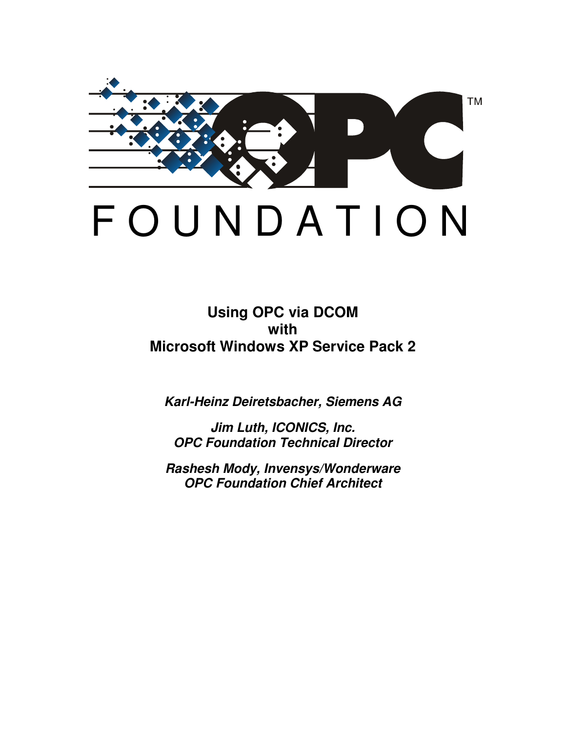

*Karl-Heinz Deiretsbacher, Siemens AG*

*Jim Luth, ICONICS, Inc. OPC Foundation Technical Director*

*Rashesh Mody, Invensys/Wonderware OPC Foundation Chief Architect*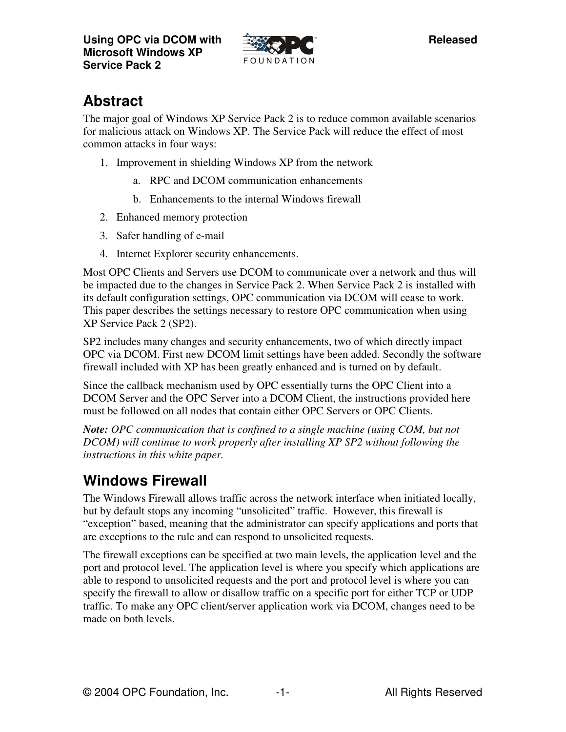

# **Abstract**

The major goal of Windows XP Service Pack 2 is to reduce common available scenarios for malicious attack on Windows XP. The Service Pack will reduce the effect of most common attacks in four ways:

- 1. Improvement in shielding Windows XP from the network
	- a. RPC and DCOM communication enhancements
	- b. Enhancements to the internal Windows firewall
- 2. Enhanced memory protection
- 3. Safer handling of e-mail
- 4. Internet Explorer security enhancements.

Most OPC Clients and Servers use DCOM to communicate over a network and thus will be impacted due to the changes in Service Pack 2. When Service Pack 2 is installed with its default configuration settings, OPC communication via DCOM will cease to work. This paper describes the settings necessary to restore OPC communication when using XP Service Pack 2 (SP2).

SP2 includes many changes and security enhancements, two of which directly impact OPC via DCOM. First new DCOM limit settings have been added. Secondly the software firewall included with XP has been greatly enhanced and is turned on by default.

Since the callback mechanism used by OPC essentially turns the OPC Client into a DCOM Server and the OPC Server into a DCOM Client, the instructions provided here must be followed on all nodes that contain either OPC Servers or OPC Clients.

*Note: OPC communication that is confined to a single machine (using COM, but not DCOM) will continue to work properly after installing XP SP2 without following the instructions in this white paper.*

## **Windows Firewall**

The Windows Firewall allows traffic across the network interface when initiated locally, but by default stops any incoming "unsolicited" traffic. However, this firewall is "exception" based, meaning that the administrator can specify applications and ports that are exceptions to the rule and can respond to unsolicited requests.

The firewall exceptions can be specified at two main levels, the application level and the port and protocol level. The application level is where you specify which applications are able to respond to unsolicited requests and the port and protocol level is where you can specify the firewall to allow or disallow traffic on a specific port for either TCP or UDP traffic. To make any OPC client/server application work via DCOM, changes need to be made on both levels.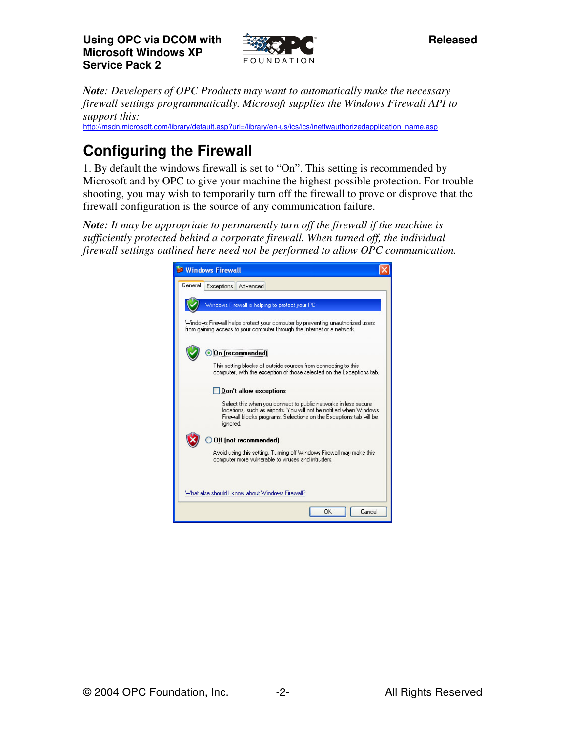

*Note: Developers of OPC Products may want to automatically make the necessary firewall settings programmatically. Microsoft supplies the Windows Firewall API to support this:*

http://msdn.microsoft.com/library/default.asp?url=/library/en-us/ics/ics/inetfwauthorizedapplication\_name.asp

# **Configuring the Firewall**

1. By default the windows firewall is set to "On". This setting is recommended by Microsoft and by OPC to give your machine the highest possible protection. For trouble shooting, you may wish to temporarily turn off the firewall to prove or disprove that the firewall configuration is the source of any communication failure.

*Note: It may be appropriate to permanently turn off the firewall if the machine is sufficiently protected behind a corporate firewall. When turned off, the individual firewall settings outlined here need not be performed to allow OPC communication.*

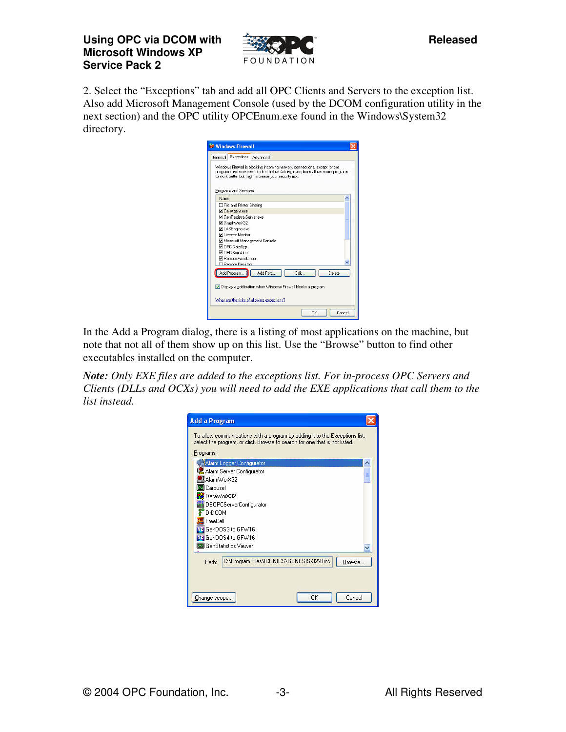

2. Select the "Exceptions" tab and add all OPC Clients and Servers to the exception list. Also add Microsoft Management Console (used by the DCOM configuration utility in the next section) and the OPC utility OPCEnum.exe found in the Windows\System32 directory.

| <b>Sa Windows Firewall</b>                                                                                                                                                                                         |  |
|--------------------------------------------------------------------------------------------------------------------------------------------------------------------------------------------------------------------|--|
| Exceptions<br>Advanced<br>General                                                                                                                                                                                  |  |
| Windows Firewall is blocking incoming network connections, except for the<br>programs and services selected below. Adding exceptions allows some programs<br>to work better but might increase your security risk. |  |
| Programs and Services:                                                                                                                                                                                             |  |
| Name                                                                                                                                                                                                               |  |
| □ File and Printer Sharing                                                                                                                                                                                         |  |
| GenAgent.exe                                                                                                                                                                                                       |  |
| GenRegistrarServer.exe                                                                                                                                                                                             |  |
| □ GraphWorX32                                                                                                                                                                                                      |  |
| □ LASEngine.exe                                                                                                                                                                                                    |  |
| <b>⊽</b> License Monitor                                                                                                                                                                                           |  |
| Microsoft Management Console                                                                                                                                                                                       |  |
| OPC DataSpy                                                                                                                                                                                                        |  |
| <b>⊽</b> OPC Simulator                                                                                                                                                                                             |  |
| <b>☑</b> Bemote Assistance                                                                                                                                                                                         |  |
| <b>CLRemote Deskton</b>                                                                                                                                                                                            |  |
| Add Program<br>Add Port<br>Edit<br>Delete                                                                                                                                                                          |  |
| Display a notification when Windows Firewall blocks a program                                                                                                                                                      |  |
| What are the risks of allowing exceptions?                                                                                                                                                                         |  |
| <b>DK</b><br>Cancel                                                                                                                                                                                                |  |

In the Add a Program dialog, there is a listing of most applications on the machine, but note that not all of them show up on this list. Use the "Browse" button to find other executables installed on the computer.

*Note: Only EXE files are added to the exceptions list. For in-process OPC Servers and Clients (DLLs and OCXs) you will need to add the EXE applications that call them to the list instead.*

| <b>Add a Program</b>                                                                                                                                     |  |
|----------------------------------------------------------------------------------------------------------------------------------------------------------|--|
| To allow communications with a program by adding it to the Exceptions list,<br>select the program, or click Browse to search for one that is not listed. |  |
| Programs:                                                                                                                                                |  |
| Alarm Logger Configurator                                                                                                                                |  |
| Alarm Server Configurator                                                                                                                                |  |
| AlarmWorX32                                                                                                                                              |  |
| <b>R</b> Carousel                                                                                                                                        |  |
| DataWorX32                                                                                                                                               |  |
| DBOPCServerConfigurator                                                                                                                                  |  |
| <b>DrDCOM</b>                                                                                                                                            |  |
| FreeCell                                                                                                                                                 |  |
| GenDOS3 to GFW16                                                                                                                                         |  |
| GenDOS4 to GFW16                                                                                                                                         |  |
| <b>22</b> GenStatistics Viewer                                                                                                                           |  |
| C:\Program Files\ICONICS\GENESIS-32\Bin\<br>Path:<br>Browse                                                                                              |  |
| OK<br>Cancel<br>Change scope                                                                                                                             |  |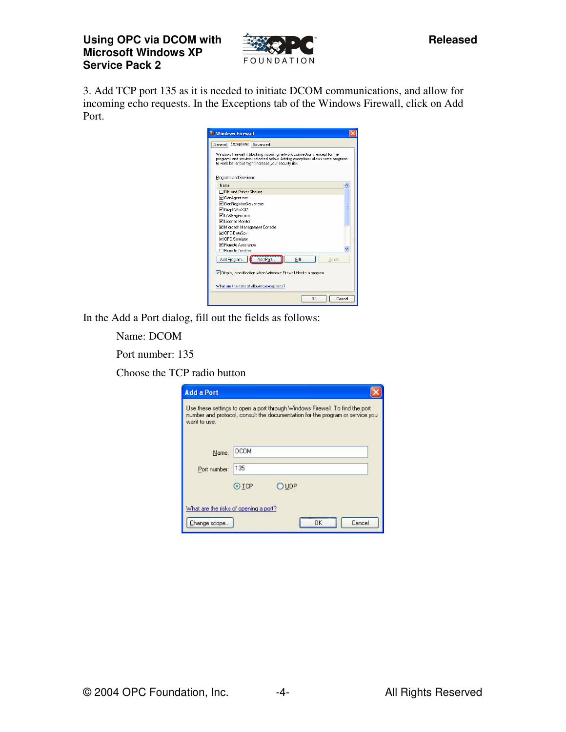

3. Add TCP port 135 as it is needed to initiate DCOM communications, and allow for incoming echo requests. In the Exceptions tab of the Windows Firewall, click on Add Port.

| <b>St Windows Firewall</b>                                                                                                                                                                                         |  |  |  |  |
|--------------------------------------------------------------------------------------------------------------------------------------------------------------------------------------------------------------------|--|--|--|--|
| Exceptions<br>Advanced<br>General                                                                                                                                                                                  |  |  |  |  |
| Windows Firewall is blocking incoming network connections, except for the<br>programs and services selected below. Adding exceptions allows some programs<br>to work better but might increase your security risk. |  |  |  |  |
| Programs and Services:<br>Name                                                                                                                                                                                     |  |  |  |  |
| File and Printer Sharing                                                                                                                                                                                           |  |  |  |  |
| <b>☑</b> GenAgent.exe                                                                                                                                                                                              |  |  |  |  |
| <b>☑</b> GenRegistrarServer.exe                                                                                                                                                                                    |  |  |  |  |
| <b>☑</b> GraphWorX32                                                                                                                                                                                               |  |  |  |  |
| <b>ØLASEngine.exe</b>                                                                                                                                                                                              |  |  |  |  |
| <b>Ø License Monitor</b>                                                                                                                                                                                           |  |  |  |  |
| Microsoft Management Console                                                                                                                                                                                       |  |  |  |  |
| O OPC DataSpy                                                                                                                                                                                                      |  |  |  |  |
| <b>⊽</b> OPC Simulator                                                                                                                                                                                             |  |  |  |  |
| <b>D</b> Bemote Assistance                                                                                                                                                                                         |  |  |  |  |
| <b>El Remote Deskton</b>                                                                                                                                                                                           |  |  |  |  |
| Add Port<br>Edit<br>Add Program<br>Delete                                                                                                                                                                          |  |  |  |  |
| Display a notification when Windows Firewall blocks a program                                                                                                                                                      |  |  |  |  |
| What are the risks of allowing exceptions?                                                                                                                                                                         |  |  |  |  |
| ΠK<br>Cancel                                                                                                                                                                                                       |  |  |  |  |

In the Add a Port dialog, fill out the fields as follows:

Name: DCOM

Port number: 135

Choose the TCP radio button

| <b>Add a Port</b>                                     |                                                                                                                                                               |  |
|-------------------------------------------------------|---------------------------------------------------------------------------------------------------------------------------------------------------------------|--|
| want to use.                                          | Use these settings to open a port through Windows Firewall. To find the port<br>number and protocol, consult the documentation for the program or service you |  |
| Name:                                                 | DCOM                                                                                                                                                          |  |
| Port number:                                          | 135                                                                                                                                                           |  |
|                                                       | $\odot$ TCP<br>UDP                                                                                                                                            |  |
| What are the risks of opening a port?<br>Change scope | Cancel                                                                                                                                                        |  |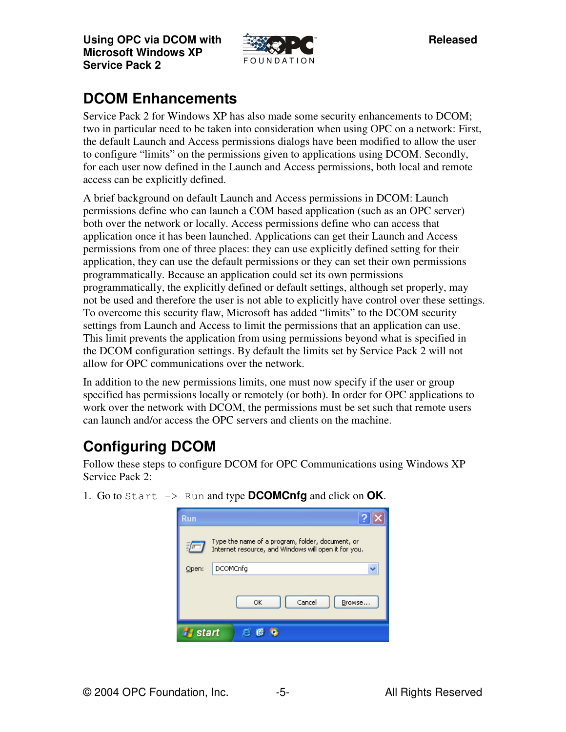

# **DCOM Enhancements**

Service Pack 2 for Windows XP has also made some security enhancements to DCOM; two in particular need to be taken into consideration when using OPC on a network: First, the default Launch and Access permissions dialogs have been modified to allow the user to configure "limits" on the permissions given to applications using DCOM. Secondly, for each user now defined in the Launch and Access permissions, both local and remote access can be explicitly defined.

A brief background on default Launch and Access permissions in DCOM: Launch permissions define who can launch a COM based application (such as an OPC server) both over the network or locally. Access permissions define who can access that application once it has been launched. Applications can get their Launch and Access permissions from one of three places: they can use explicitly defined setting for their application, they can use the default permissions or they can set their own permissions programmatically. Because an application could set its own permissions programmatically, the explicitly defined or default settings, although set properly, may not be used and therefore the user is not able to explicitly have control over these settings. To overcome this security flaw, Microsoft has added "limits" to the DCOM security settings from Launch and Access to limit the permissions that an application can use. This limit prevents the application from using permissions beyond what is specified in the DCOM configuration settings. By default the limits set by Service Pack 2 will not allow for OPC communications over the network.

In addition to the new permissions limits, one must now specify if the user or group specified has permissions locally or remotely (or both). In order for OPC applications to work over the network with DCOM, the permissions must be set such that remote users can launch and/or access the OPC servers and clients on the machine.

# **Configuring DCOM**

Follow these steps to configure DCOM for OPC Communications using Windows XP Service Pack 2:

| Run   |                                                                                                          |  |
|-------|----------------------------------------------------------------------------------------------------------|--|
|       | Type the name of a program, folder, document, or<br>Internet resource, and Windows will open it for you. |  |
| Open: | <b>DCOMCnfg</b>                                                                                          |  |
|       | Cancel<br>OK<br>Browse                                                                                   |  |
|       | tart                                                                                                     |  |

1. Go to Start -> Run and type **DCOMCnfg** and click on **OK**.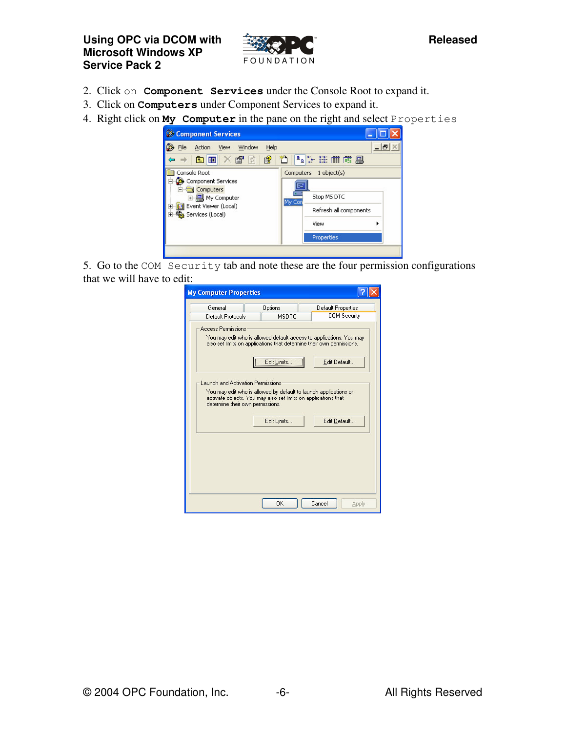

- 2. Click on **Component Services** under the Console Root to expand it.
- 3. Click on **Computers** under Component Services to expand it.
- 4. Right click on **My Computer** in the pane on the right and select Properties



5. Go to the COM Security tab and note these are the four permission configurations that we will have to edit:

| General                          | Options                                                                                                                                           | Default Properties  |
|----------------------------------|---------------------------------------------------------------------------------------------------------------------------------------------------|---------------------|
| Default Protocols                | <b>MSDTC</b>                                                                                                                                      | <b>COM Security</b> |
| <b>Access Permissions</b>        |                                                                                                                                                   |                     |
|                                  | You may edit who is allowed default access to applications. You may<br>also set limits on applications that determine their own permissions.      |                     |
|                                  | Edit Limits                                                                                                                                       | Edit Default        |
|                                  |                                                                                                                                                   |                     |
| determine their own permissions. | You may edit who is allowed by default to launch applications or<br>activate objects. You may also set limits on applications that<br>Edit Limits | Edit Default        |
|                                  |                                                                                                                                                   |                     |
|                                  |                                                                                                                                                   |                     |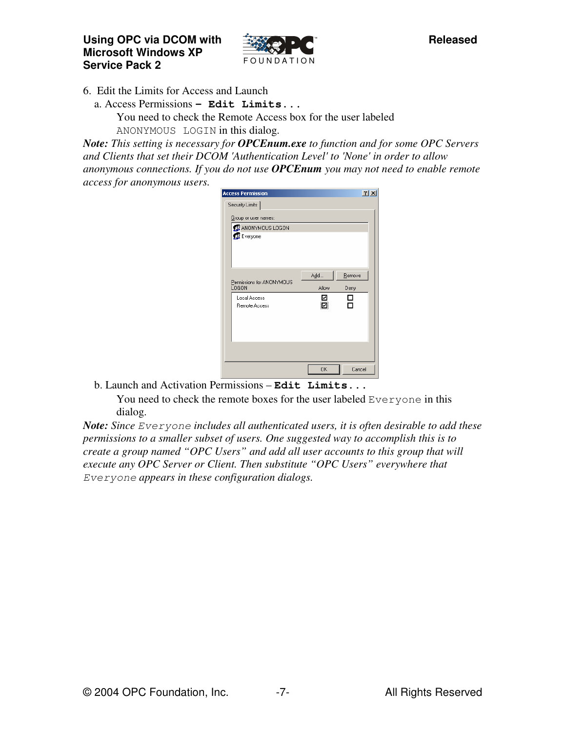

6. Edit the Limits for Access and Launch

a. Access Permissions **– Edit Limits...** You need to check the Remote Access box for the user labeled ANONYMOUS LOGIN in this dialog.

*Note: This setting is necessary for OPCEnum.exe to function and for some OPC Servers and Clients that set their DCOM 'Authentication Level' to 'None' in order to allow anonymous connections. If you do not use OPCEnum you may not need to enable remote access for anonymous users.*

| <b>Access Permission</b>     |                           | $?$ $\times$ |
|------------------------------|---------------------------|--------------|
| Security Limits              |                           |              |
| Group or user names:         |                           |              |
| <b>12</b> ANONYMOUS LOGON    |                           |              |
| <b>B</b> Everyone            |                           |              |
|                              |                           |              |
|                              |                           |              |
|                              | Add<br>Remove             |              |
| Permissions for ANONYMOUS    |                           |              |
| <b>LOGON</b><br>Local Access | Allow<br>Deny<br>▿<br>- 1 |              |
| <b>Remote Access</b>         | ☑                         |              |
|                              |                           |              |
|                              |                           |              |
|                              |                           |              |
|                              |                           |              |
|                              |                           |              |
|                              | <b>OK</b>                 | Cancel       |

b. Launch and Activation Permissions – **Edit Limits...** You need to check the remote boxes for the user labeled Everyone in this dialog.

*Note: Since Everyone includes all authenticated users, it is often desirable to add these permissions to a smaller subset of users. One suggested way to accomplish this is to create a group named "OPC Users" and add all user accounts to this group that will execute any OPC Server or Client. Then substitute "OPC Users" everywhere that Everyone appears in these configuration dialogs.*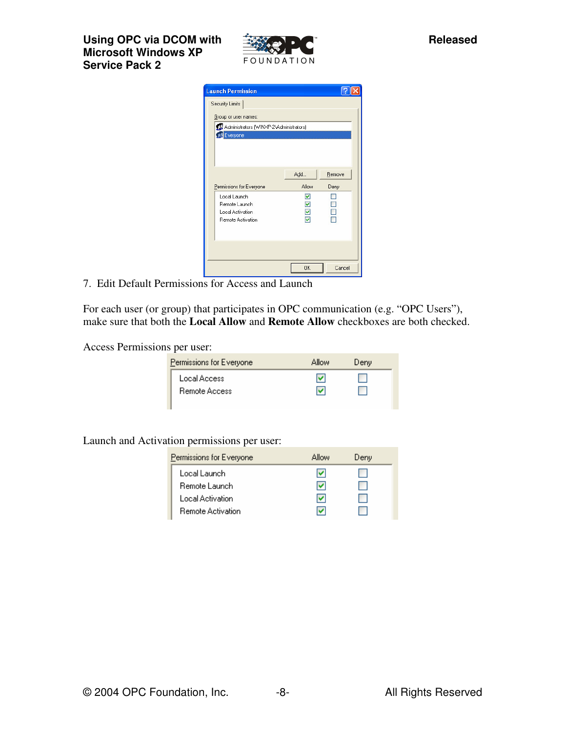

| <b>Launch Permission</b>                                                                                        |              |                |
|-----------------------------------------------------------------------------------------------------------------|--------------|----------------|
| Security Limits<br>Group or user names:<br>22 Administrators (WINXP-2\Administrators)<br><b>F&amp;</b> Everyone |              |                |
| Permissions for Everyone                                                                                        | Add<br>Allow | Remove<br>Deny |
| Local Launch<br>Remote Launch<br>Local Activation<br>Remote Activation                                          | ⊽<br>⊽       |                |
|                                                                                                                 | <b>OK</b>    | Cancel         |

7. Edit Default Permissions for Access and Launch

For each user (or group) that participates in OPC communication (e.g. "OPC Users"), make sure that both the **Local Allow** and **Remote Allow** checkboxes are both checked.

Access Permissions per user:

| Permissions for Everyone      | Allow | Deny |
|-------------------------------|-------|------|
| Local Access<br>Remote Access | u     |      |
|                               |       |      |

Launch and Activation permissions per user:

| Permissions for Everyone | Allow | Deny |  |
|--------------------------|-------|------|--|
| Local Launch             | M     |      |  |
| Remote Launch            | v     |      |  |
| Local Activation         | v     |      |  |
| <b>Remote Activation</b> |       |      |  |